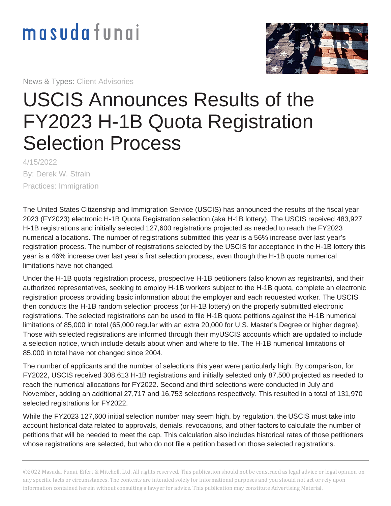## masudafungi

News & Types: Client Advisories



## USCIS Announces Results of the FY2023 H-1B Quota Registration Selection Process

4/15/2022 By: Derek W. Strain Practices: Immigration

The United States Citizenship and Immigration Service (USCIS) has [announced](https://www.uscis.gov/working-in-the-united-states/temporary-workers/h-1b-specialty-occupations-and-fashion-models/h-1b-electronic-registration-process) the results of the fiscal year 2023 (FY2023) electronic H-1B Quota Registration selection (aka H-1B lottery). The USCIS received 483,927 H-1B registrations and initially selected 127,600 registrations projected as needed to reach the FY2023 numerical allocations. The number of registrations submitted this year is a 56% increase over last year's registration process. The number of registrations selected by the USCIS for acceptance in the H-1B lottery this year is a 46% increase over last year's first selection process, even though the H-1B quota numerical limitations have not changed.

Under the H-1B quota registration process, prospective H-1B petitioners (also known as registrants), and their authorized representatives, seeking to employ H-1B workers subject to the H-1B quota, complete an electronic registration process providing basic information about the employer and each requested worker. The USCIS then conducts the H-1B random selection process (or H-1B lottery) on the properly submitted electronic registrations. The selected registrations can be used to file H-1B quota petitions against the H-1B numerical limitations of 85,000 in total (65,000 regular with an extra 20,000 for U.S. Master's Degree or higher degree). Those with selected registrations are informed through their myUSCIS accounts which are updated to include a selection notice, which include details about when and where to file. The H-1B numerical limitations of 85,000 in total have not changed since 2004.

The number of applicants and the number of selections this year were particularly high. By comparison, for FY2022, USCIS received 308,613 H-1B registrations and initially selected only 87,500 projected as needed to reach the numerical allocations for FY2022. Second and third selections were conducted in July and November, adding an additional 27,717 and 16,753 selections respectively. This resulted in a total of 131,970 selected registrations for FY2022.

While the FY2023 127,600 initial selection number may seem high, by regulation, the USCIS must take into account historical data related to approvals, denials, revocations, and other factors to calculate the number of petitions that will be needed to meet the cap. This calculation also includes historical rates of those petitioners whose registrations are selected, but who do not file a petition based on those selected registrations.

©2022 Masuda, Funai, Eifert & Mitchell, Ltd. All rights reserved. This publication should not be construed as legal advice or legal opinion on any specific facts or circumstances. The contents are intended solely for informational purposes and you should not act or rely upon information contained herein without consulting a lawyer for advice. This publication may constitute Advertising Material.